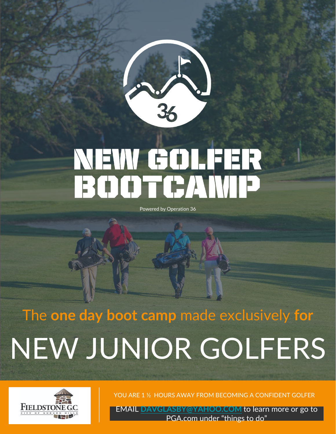

# NEW GOLFER BOOTGAWP

Powered by Operation 36

## The **one day boot camp** made exclusively **for** NEW JUNIOR GOLFERS



YOU ARE 1 ½ HOURS AWAY FROM BECOMING A CONFIDENT GOLFER

EMAIL **[DAVGLASBY@YAHOO.COM](mailto:DAVGLASBY@YAHOO.COM)** to learn more or go to PGA.com under "things to do"